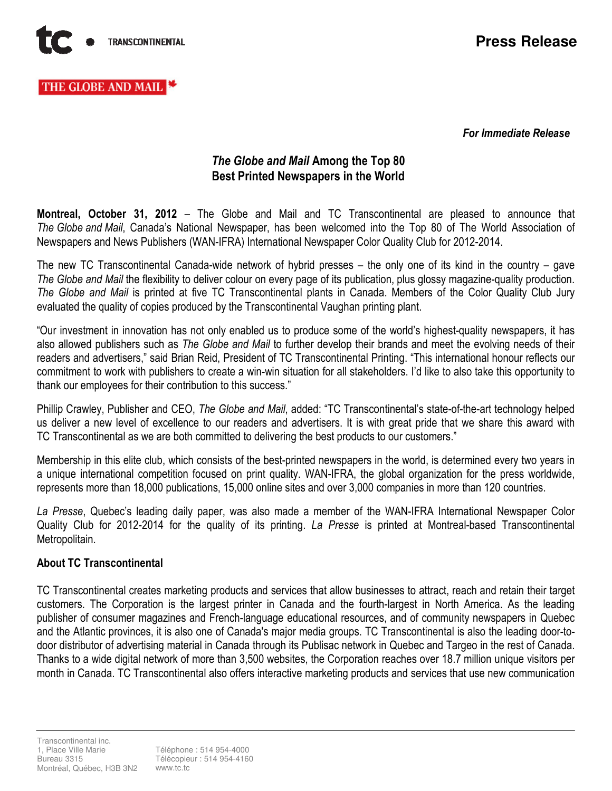

# THE GLOBE AND MAIL

For Immediate Release

## The Globe and Mail Among the Top 80 Best Printed Newspapers in the World

Montreal, October 31, 2012 – The Globe and Mail and TC Transcontinental are pleased to announce that The Globe and Mail, Canada's National Newspaper, has been welcomed into the Top 80 of The World Association of Newspapers and News Publishers (WAN-IFRA) International Newspaper Color Quality Club for 2012-2014.

The new TC Transcontinental Canada-wide network of hybrid presses – the only one of its kind in the country – gave The Globe and Mail the flexibility to deliver colour on every page of its publication, plus glossy magazine-quality production. The Globe and Mail is printed at five TC Transcontinental plants in Canada. Members of the Color Quality Club Jury evaluated the quality of copies produced by the Transcontinental Vaughan printing plant.

"Our investment in innovation has not only enabled us to produce some of the world's highest-quality newspapers, it has also allowed publishers such as The Globe and Mail to further develop their brands and meet the evolving needs of their readers and advertisers," said Brian Reid, President of TC Transcontinental Printing. "This international honour reflects our commitment to work with publishers to create a win-win situation for all stakeholders. I'd like to also take this opportunity to thank our employees for their contribution to this success."

Phillip Crawley, Publisher and CEO, The Globe and Mail, added: "TC Transcontinental's state-of-the-art technology helped us deliver a new level of excellence to our readers and advertisers. It is with great pride that we share this award with TC Transcontinental as we are both committed to delivering the best products to our customers."

Membership in this elite club, which consists of the best-printed newspapers in the world, is determined every two years in a unique international competition focused on print quality. WAN-IFRA, the global organization for the press worldwide, represents more than 18,000 publications, 15,000 online sites and over 3,000 companies in more than 120 countries.

La Presse, Quebec's leading daily paper, was also made a member of the WAN-IFRA International Newspaper Color Quality Club for 2012-2014 for the quality of its printing. La Presse is printed at Montreal-based Transcontinental Metropolitain.

## About TC Transcontinental

TC Transcontinental creates marketing products and services that allow businesses to attract, reach and retain their target customers. The Corporation is the largest printer in Canada and the fourth-largest in North America. As the leading publisher of consumer magazines and French-language educational resources, and of community newspapers in Quebec and the Atlantic provinces, it is also one of Canada's major media groups. TC Transcontinental is also the leading door-todoor distributor of advertising material in Canada through its Publisac network in Quebec and Targeo in the rest of Canada. Thanks to a wide digital network of more than 3,500 websites, the Corporation reaches over 18.7 million unique visitors per month in Canada. TC Transcontinental also offers interactive marketing products and services that use new communication